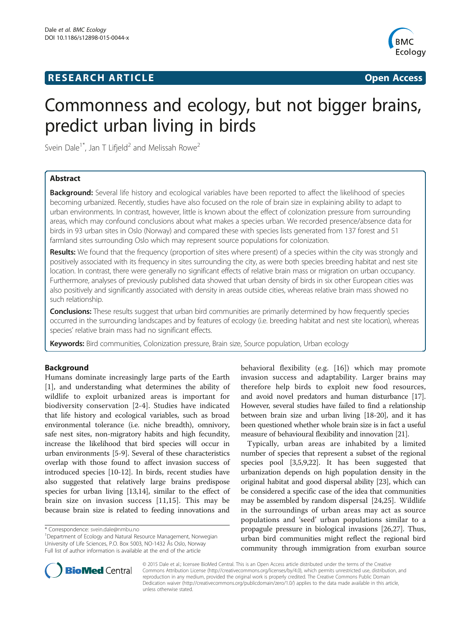# **RESEARCH ARTICLE Example 2014 CONSIDERING CONSIDERING CONSIDERING CONSIDERING CONSIDERING CONSIDERING CONSIDERING CONSIDERING CONSIDERING CONSIDERING CONSIDERING CONSIDERING CONSIDERING CONSIDERING CONSIDERING CONSIDE**



# Commonness and ecology, but not bigger brains, predict urban living in birds

Svein Dale<sup>1\*</sup>, Jan T Lifjeld<sup>2</sup> and Melissah Rowe<sup>2</sup>

# Abstract

**Background:** Several life history and ecological variables have been reported to affect the likelihood of species becoming urbanized. Recently, studies have also focused on the role of brain size in explaining ability to adapt to urban environments. In contrast, however, little is known about the effect of colonization pressure from surrounding areas, which may confound conclusions about what makes a species urban. We recorded presence/absence data for birds in 93 urban sites in Oslo (Norway) and compared these with species lists generated from 137 forest and 51 farmland sites surrounding Oslo which may represent source populations for colonization.

Results: We found that the frequency (proportion of sites where present) of a species within the city was strongly and positively associated with its frequency in sites surrounding the city, as were both species breeding habitat and nest site location. In contrast, there were generally no significant effects of relative brain mass or migration on urban occupancy. Furthermore, analyses of previously published data showed that urban density of birds in six other European cities was also positively and significantly associated with density in areas outside cities, whereas relative brain mass showed no such relationship.

Conclusions: These results suggest that urban bird communities are primarily determined by how frequently species occurred in the surrounding landscapes and by features of ecology (i.e. breeding habitat and nest site location), whereas species' relative brain mass had no significant effects.

**Keywords:** Bird communities, Colonization pressure, Brain size, Source population, Urban ecology

# Background

Humans dominate increasingly large parts of the Earth [[1\]](#page-12-0), and understanding what determines the ability of wildlife to exploit urbanized areas is important for biodiversity conservation [[2-4](#page-12-0)]. Studies have indicated that life history and ecological variables, such as broad environmental tolerance (i.e. niche breadth), omnivory, safe nest sites, non-migratory habits and high fecundity, increase the likelihood that bird species will occur in urban environments [\[5-9](#page-12-0)]. Several of these characteristics overlap with those found to affect invasion success of introduced species [[10-12\]](#page-12-0). In birds, recent studies have also suggested that relatively large brains predispose species for urban living [\[13,14\]](#page-12-0), similar to the effect of brain size on invasion success [[11,15\]](#page-12-0). This may be because brain size is related to feeding innovations and

behavioral flexibility (e.g. [\[16](#page-12-0)]) which may promote invasion success and adaptability. Larger brains may therefore help birds to exploit new food resources, and avoid novel predators and human disturbance [\[17](#page-12-0)]. However, several studies have failed to find a relationship between brain size and urban living [\[18-20\]](#page-12-0), and it has been questioned whether whole brain size is in fact a useful measure of behavioural flexibility and innovation [\[21\]](#page-12-0).

Typically, urban areas are inhabited by a limited number of species that represent a subset of the regional species pool [[3](#page-12-0),[5,9,22\]](#page-12-0). It has been suggested that urbanization depends on high population density in the original habitat and good dispersal ability [\[23\]](#page-12-0), which can be considered a specific case of the idea that communities may be assembled by random dispersal [[24,25](#page-12-0)]. Wildlife in the surroundings of urban areas may act as source populations and 'seed' urban populations similar to a propagule pressure in biological invasions [\[26,27](#page-12-0)]. Thus, urban bird communities might reflect the regional bird community through immigration from exurban source



© 2015 Dale et al.; licensee BioMed Central. This is an Open Access article distributed under the terms of the Creative Commons Attribution License [\(http://creativecommons.org/licenses/by/4.0\)](http://creativecommons.org/licenses/by/4.0), which permits unrestricted use, distribution, and reproduction in any medium, provided the original work is properly credited. The Creative Commons Public Domain Dedication waiver [\(http://creativecommons.org/publicdomain/zero/1.0/](http://creativecommons.org/publicdomain/zero/1.0/)) applies to the data made available in this article, unless otherwise stated.

<sup>\*</sup> Correspondence: [svein.dale@nmbu.no](mailto:svein.dale@nmbu.no) <sup>1</sup>

<sup>&</sup>lt;sup>1</sup>Department of Ecology and Natural Resource Management, Norwegian University of Life Sciences, P.O. Box 5003, NO-1432 Ås Oslo, Norway Full list of author information is available at the end of the article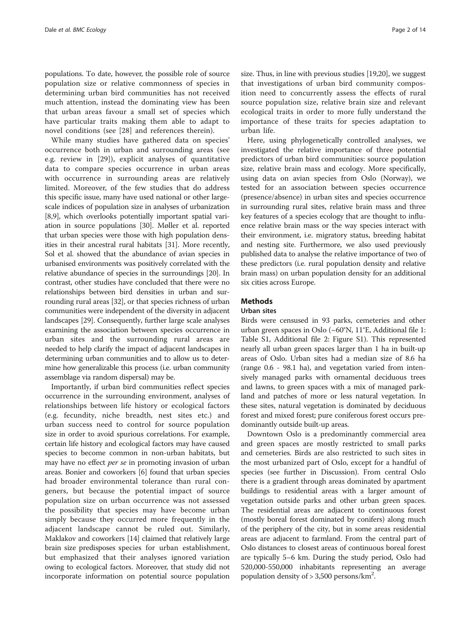populations. To date, however, the possible role of source population size or relative commonness of species in determining urban bird communities has not received much attention, instead the dominating view has been that urban areas favour a small set of species which have particular traits making them able to adapt to novel conditions (see [[28\]](#page-12-0) and references therein).

While many studies have gathered data on species' occurrence both in urban and surrounding areas (see e.g. review in [[29\]](#page-12-0)), explicit analyses of quantitative data to compare species occurrence in urban areas with occurrence in surrounding areas are relatively limited. Moreover, of the few studies that do address this specific issue, many have used national or other largescale indices of population size in analyses of urbanization [[8,9](#page-12-0)], which overlooks potentially important spatial variation in source populations [[30](#page-12-0)]. Møller et al. reported that urban species were those with high population densities in their ancestral rural habitats [\[31\]](#page-12-0). More recently, Sol et al. showed that the abundance of avian species in urbanised environments was positively correlated with the relative abundance of species in the surroundings [\[20\]](#page-12-0). In contrast, other studies have concluded that there were no relationships between bird densities in urban and surrounding rural areas [[32](#page-12-0)], or that species richness of urban communities were independent of the diversity in adjacent landscapes [\[29](#page-12-0)]. Consequently, further large scale analyses examining the association between species occurrence in urban sites and the surrounding rural areas are needed to help clarify the impact of adjacent landscapes in determining urban communities and to allow us to determine how generalizable this process (i.e. urban community assemblage via random dispersal) may be.

Importantly, if urban bird communities reflect species occurrence in the surrounding environment, analyses of relationships between life history or ecological factors (e.g. fecundity, niche breadth, nest sites etc.) and urban success need to control for source population size in order to avoid spurious correlations. For example, certain life history and ecological factors may have caused species to become common in non-urban habitats, but may have no effect *per se* in promoting invasion of urban areas. Bonier and coworkers [\[6](#page-12-0)] found that urban species had broader environmental tolerance than rural congeners, but because the potential impact of source population size on urban occurrence was not assessed the possibility that species may have become urban simply because they occurred more frequently in the adjacent landscape cannot be ruled out. Similarly, Maklakov and coworkers [[14\]](#page-12-0) claimed that relatively large brain size predisposes species for urban establishment, but emphasized that their analyses ignored variation owing to ecological factors. Moreover, that study did not incorporate information on potential source population

size. Thus, in line with previous studies [[19,20\]](#page-12-0), we suggest that investigations of urban bird community composition need to concurrently assess the effects of rural source population size, relative brain size and relevant ecological traits in order to more fully understand the importance of these traits for species adaptation to urban life.

Here, using phylogenetically controlled analyses, we investigated the relative importance of three potential predictors of urban bird communities: source population size, relative brain mass and ecology. More specifically, using data on avian species from Oslo (Norway), we tested for an association between species occurrence (presence/absence) in urban sites and species occurrence in surrounding rural sites, relative brain mass and three key features of a species ecology that are thought to influence relative brain mass or the way species interact with their environment, i.e. migratory status, breeding habitat and nesting site. Furthermore, we also used previously published data to analyse the relative importance of two of these predictors (i.e. rural population density and relative brain mass) on urban population density for an additional six cities across Europe.

# **Methods**

#### Urban sites

Birds were censused in 93 parks, cemeteries and other urban green spaces in Oslo (~60°N, 11°E, Additional file [1](#page-12-0): Table S1, Additional file [2:](#page-12-0) Figure S1). This represented nearly all urban green spaces larger than 1 ha in built-up areas of Oslo. Urban sites had a median size of 8.6 ha (range 0.6 - 98.1 ha), and vegetation varied from intensively managed parks with ornamental deciduous trees and lawns, to green spaces with a mix of managed parkland and patches of more or less natural vegetation. In these sites, natural vegetation is dominated by deciduous forest and mixed forest; pure coniferous forest occurs predominantly outside built-up areas.

Downtown Oslo is a predominantly commercial area and green spaces are mostly restricted to small parks and cemeteries. Birds are also restricted to such sites in the most urbanized part of Oslo, except for a handful of species (see further in [Discussion\)](#page-7-0). From central Oslo there is a gradient through areas dominated by apartment buildings to residential areas with a larger amount of vegetation outside parks and other urban green spaces. The residential areas are adjacent to continuous forest (mostly boreal forest dominated by conifers) along much of the periphery of the city, but in some areas residential areas are adjacent to farmland. From the central part of Oslo distances to closest areas of continuous boreal forest are typically 5–6 km. During the study period, Oslo had 520,000-550,000 inhabitants representing an average population density of  $> 3,500$  persons/km<sup>2</sup>.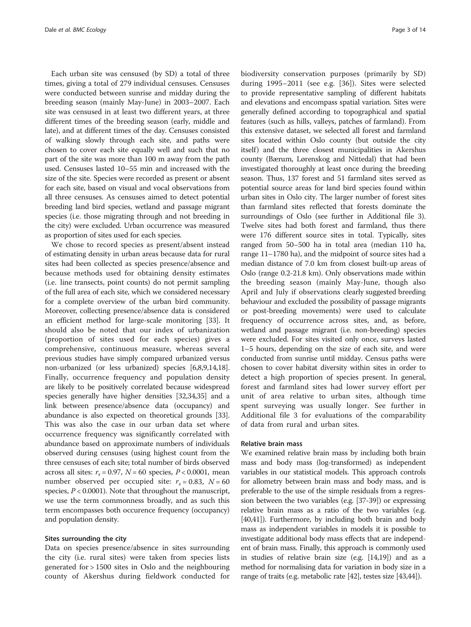Each urban site was censused (by SD) a total of three times, giving a total of 279 individual censuses. Censuses were conducted between sunrise and midday during the breeding season (mainly May-June) in 2003–2007. Each site was censused in at least two different years, at three different times of the breeding season (early, middle and late), and at different times of the day. Censuses consisted of walking slowly through each site, and paths were chosen to cover each site equally well and such that no part of the site was more than 100 m away from the path used. Censuses lasted 10–55 min and increased with the size of the site. Species were recorded as present or absent for each site, based on visual and vocal observations from all three censuses. As censuses aimed to detect potential breeding land bird species, wetland and passage migrant species (i.e. those migrating through and not breeding in the city) were excluded. Urban occurrence was measured as proportion of sites used for each species.

We chose to record species as present/absent instead of estimating density in urban areas because data for rural sites had been collected as species presence/absence and because methods used for obtaining density estimates (i.e. line transects, point counts) do not permit sampling of the full area of each site, which we considered necessary for a complete overview of the urban bird community. Moreover, collecting presence/absence data is considered an efficient method for large-scale monitoring [[33](#page-12-0)]. It should also be noted that our index of urbanization (proportion of sites used for each species) gives a comprehensive, continuous measure, whereas several previous studies have simply compared urbanized versus non-urbanized (or less urbanized) species [\[6,8,9,14,18](#page-12-0)]. Finally, occurrence frequency and population density are likely to be positively correlated because widespread species generally have higher densities [[32,34,35\]](#page-12-0) and a link between presence/absence data (occupancy) and abundance is also expected on theoretical grounds [[33](#page-12-0)]. This was also the case in our urban data set where occurrence frequency was significantly correlated with abundance based on approximate numbers of individuals observed during censuses (using highest count from the three censuses of each site; total number of birds observed across all sites:  $r_s = 0.97$ ,  $N = 60$  species,  $P < 0.0001$ , mean number observed per occupied site:  $r_s = 0.83$ ,  $N = 60$ species,  $P < 0.0001$ ). Note that throughout the manuscript, we use the term commonness broadly, and as such this term encompasses both occurence frequency (occupancy) and population density.

#### Sites surrounding the city

Data on species presence/absence in sites surrounding the city (i.e. rural sites) were taken from species lists generated for > 1500 sites in Oslo and the neighbouring county of Akershus during fieldwork conducted for

biodiversity conservation purposes (primarily by SD) during 1995–2011 (see e.g. [\[36](#page-12-0)]). Sites were selected to provide representative sampling of different habitats and elevations and encompass spatial variation. Sites were generally defined according to topographical and spatial features (such as hills, valleys, patches of farmland). From this extensive dataset, we selected all forest and farmland sites located within Oslo county (but outside the city itself) and the three closest municipalities in Akershus county (Bærum, Lørenskog and Nittedal) that had been investigated thoroughly at least once during the breeding season. Thus, 137 forest and 51 farmland sites served as potential source areas for land bird species found within urban sites in Oslo city. The larger number of forest sites than farmland sites reflected that forests dominate the surroundings of Oslo (see further in Additional file [3](#page-12-0)). Twelve sites had both forest and farmland, thus there were 176 different source sites in total. Typically, sites ranged from 50–500 ha in total area (median 110 ha, range 11–1780 ha), and the midpoint of source sites had a median distance of 7.0 km from closest built-up areas of Oslo (range 0.2-21.8 km). Only observations made within the breeding season (mainly May-June, though also April and July if observations clearly suggested breeding behaviour and excluded the possibility of passage migrants or post-breeding movements) were used to calculate frequency of occurrence across sites, and, as before, wetland and passage migrant (i.e. non-breeding) species were excluded. For sites visited only once, surveys lasted 1–5 hours, depending on the size of each site, and were conducted from sunrise until midday. Census paths were chosen to cover habitat diversity within sites in order to detect a high proportion of species present. In general, forest and farmland sites had lower survey effort per unit of area relative to urban sites, although time spent surveying was usually longer. See further in Additional file [3](#page-12-0) for evaluations of the comparability of data from rural and urban sites.

## Relative brain mass

We examined relative brain mass by including both brain mass and body mass (log-transformed) as independent variables in our statistical models. This approach controls for allometry between brain mass and body mass, and is preferable to the use of the simple residuals from a regression between the two variables (e.g. [[37](#page-12-0)-[39\]](#page-12-0)) or expressing relative brain mass as a ratio of the two variables (e.g. [[40,41\]](#page-12-0)). Furthermore, by including both brain and body mass as independent variables in models it is possible to investigate additional body mass effects that are independent of brain mass. Finally, this approach is commonly used in studies of relative brain size (e.g. [\[14,19\]](#page-12-0)) and as a method for normalising data for variation in body size in a range of traits (e.g. metabolic rate [\[42\]](#page-12-0), testes size [\[43,44](#page-13-0)]).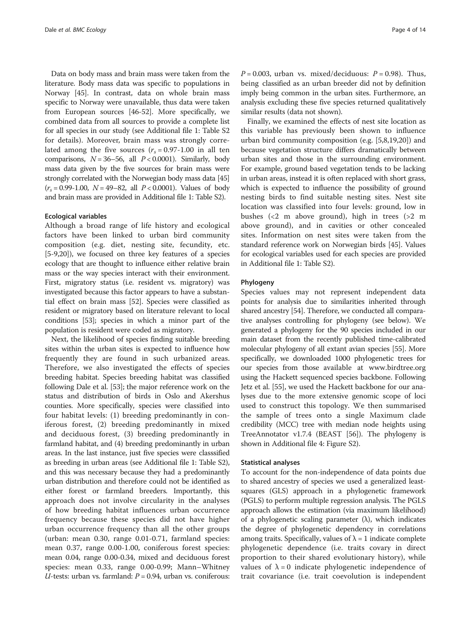Data on body mass and brain mass were taken from the literature. Body mass data was specific to populations in Norway [\[45\]](#page-13-0). In contrast, data on whole brain mass specific to Norway were unavailable, thus data were taken from European sources [[46-52\]](#page-13-0). More specifically, we combined data from all sources to provide a complete list for all species in our study (see Additional file [1:](#page-12-0) Table S2 for details). Moreover, brain mass was strongly correlated among the five sources  $(r_s = 0.97 - 1.00$  in all ten comparisons,  $N = 36-56$ , all  $P < 0.0001$ ). Similarly, body mass data given by the five sources for brain mass were strongly correlated with the Norwegian body mass data [\[45](#page-13-0)]  $(r_s = 0.99 - 1.00, N = 49 - 82, all P < 0.0001)$ . Values of body and brain mass are provided in Additional file [1:](#page-12-0) Table S2).

#### Ecological variables

Although a broad range of life history and ecological factors have been linked to urban bird community composition (e.g. diet, nesting site, fecundity, etc. [[5-9,20\]](#page-12-0)), we focused on three key features of a species ecology that are thought to influence either relative brain mass or the way species interact with their environment. First, migratory status (i.e. resident vs. migratory) was investigated because this factor appears to have a substantial effect on brain mass [\[52\]](#page-13-0). Species were classified as resident or migratory based on literature relevant to local conditions [\[53\]](#page-13-0); species in which a minor part of the population is resident were coded as migratory.

Next, the likelihood of species finding suitable breeding sites within the urban sites is expected to influence how frequently they are found in such urbanized areas. Therefore, we also investigated the effects of species breeding habitat. Species breeding habitat was classified following Dale et al. [[53](#page-13-0)]; the major reference work on the status and distribution of birds in Oslo and Akershus counties. More specifically, species were classified into four habitat levels: (1) breeding predominantly in coniferous forest, (2) breeding predominantly in mixed and deciduous forest, (3) breeding predominantly in farmland habitat, and (4) breeding predominantly in urban areas. In the last instance, just five species were classsified as breeding in urban areas (see Additional file [1:](#page-12-0) Table S2), and this was necessary because they had a predominantly urban distribution and therefore could not be identified as either forest or farmland breeders. Importantly, this approach does not involve circularity in the analyses of how breeding habitat influences urban occurrence frequency because these species did not have higher urban occurrence frequency than all the other groups (urban: mean 0.30, range 0.01-0.71, farmland species: mean 0.37, range 0.00-1.00, coniferous forest species: mean 0.04, range 0.00-0.34, mixed and deciduous forest species: mean 0.33, range 0.00-0.99; Mann–Whitney  $U$ -tests: urban vs. farmland:  $P = 0.94$ , urban vs. coniferous:  $P = 0.003$ , urban vs. mixed/deciduous:  $P = 0.98$ ). Thus, being classified as an urban breeder did not by definition imply being common in the urban sites. Furthermore, an analysis excluding these five species returned qualitatively similar results (data not shown).

Finally, we examined the effects of nest site location as this variable has previously been shown to influence urban bird community composition (e.g. [\[5,8,19,20](#page-12-0)]) and because vegetation structure differs dramatically between urban sites and those in the surrounding environment. For example, ground based vegetation tends to be lacking in urban areas, instead it is often replaced with short grass, which is expected to influence the possibility of ground nesting birds to find suitable nesting sites. Nest site location was classified into four levels: ground, low in bushes (<2 m above ground), high in trees (>2 m above ground), and in cavities or other concealed sites. Information on nest sites were taken from the standard reference work on Norwegian birds [\[45\]](#page-13-0). Values for ecological variables used for each species are provided in Additional file [1:](#page-12-0) Table S2).

## Phylogeny

Species values may not represent independent data points for analysis due to similarities inherited through shared ancestry [\[54\]](#page-13-0). Therefore, we conducted all comparative analyses controlling for phylogeny (see below). We generated a phylogeny for the 90 species included in our main dataset from the recently published time-calibrated molecular phylogeny of all extant avian species [\[55](#page-13-0)]. More specifically, we downloaded 1000 phylogenetic trees for our species from those available at [www.birdtree.org](http://www.birdtree.org) using the Hackett sequenced species backbone. Following Jetz et al. [\[55\]](#page-13-0), we used the Hackett backbone for our analyses due to the more extensive genomic scope of loci used to construct this topology. We then summarised the sample of trees onto a single Maximum clade credibility (MCC) tree with median node heights using TreeAnnotator v1.7.4 (BEAST [\[56\]](#page-13-0)). The phylogeny is shown in Additional file [4](#page-12-0): Figure S2).

#### Statistical analyses

To account for the non-independence of data points due to shared ancestry of species we used a generalized leastsquares (GLS) approach in a phylogenetic framework (PGLS) to perform multiple regression analysis. The PGLS approach allows the estimation (via maximum likelihood) of a phylogenetic scaling parameter  $(\lambda)$ , which indicates the degree of phylogenetic dependency in correlations among traits. Specifically, values of  $\lambda = 1$  indicate complete phylogenetic dependence (i.e. traits covary in direct proportion to their shared evolutionary history), while values of  $\lambda = 0$  indicate phylogenetic independence of trait covariance (i.e. trait coevolution is independent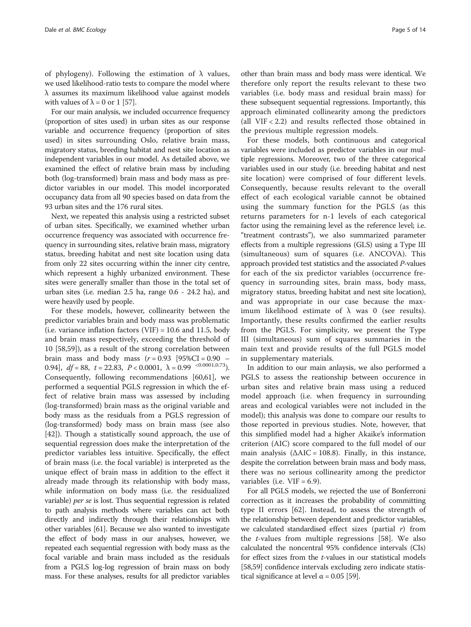of phylogeny). Following the estimation of  $\lambda$  values, we used likelihood-ratio tests to compare the model where λ assumes its maximum likelihood value against models with values of  $\lambda = 0$  or 1 [[57\]](#page-13-0).

For our main analysis, we included occurrence frequency (proportion of sites used) in urban sites as our response variable and occurrence frequency (proportion of sites used) in sites surrounding Oslo, relative brain mass, migratory status, breeding habitat and nest site location as independent variables in our model. As detailed above, we examined the effect of relative brain mass by including both (log-transformed) brain mass and body mass as predictor variables in our model. This model incorporated occupancy data from all 90 species based on data from the 93 urban sites and the 176 rural sites.

Next, we repeated this analysis using a restricted subset of urban sites. Specifically, we examined whether urban occurrence frequency was associated with occurrence frequency in surrounding sites, relative brain mass, migratory status, breeding habitat and nest site location using data from only 22 sites occurring within the inner city centre, which represent a highly urbanized environment. These sites were generally smaller than those in the total set of urban sites (i.e. median 2.5 ha, range 0.6 - 24.2 ha), and were heavily used by people.

For these models, however, collinearity between the predictor variables brain and body mass was problematic (i.e. variance inflation factors  $(VIF) = 10.6$  and 11.5, body and brain mass respectively, exceeding the threshold of 10 [\[58,59\]](#page-13-0)), as a result of the strong correlation between brain mass and body mass  $(r = 0.93)$  [95%CI = 0.90 – 0.94],  $df = 88$ ,  $t = 22.83$ ,  $P < 0.0001$ ,  $\lambda = 0.99$   $\leq 0.0001, 0.73$ . Consequently, following recommendations [\[60,61](#page-13-0)], we performed a sequential PGLS regression in which the effect of relative brain mass was assessed by including (log-transformed) brain mass as the original variable and body mass as the residuals from a PGLS regression of (log-transformed) body mass on brain mass (see also [[42\]](#page-12-0)). Though a statistically sound approach, the use of sequential regression does make the interpretation of the predictor variables less intuitive. Specifically, the effect of brain mass (i.e. the focal variable) is interpreted as the unique effect of brain mass in addition to the effect it already made through its relationship with body mass, while information on body mass (i.e. the residualized variable) per se is lost. Thus sequential regression is related to path analysis methods where variables can act both directly and indirectly through their relationships with other variables [\[61\]](#page-13-0). Because we also wanted to investigate the effect of body mass in our analyses, however, we repeated each sequential regression with body mass as the focal variable and brain mass included as the residuals from a PGLS log-log regression of brain mass on body mass. For these analyses, results for all predictor variables

other than brain mass and body mass were identical. We therefore only report the results relevant to these two variables (i.e. body mass and residual brain mass) for these subsequent sequential regressions. Importantly, this approach eliminated collinearity among the predictors (all VIF < 2.2) and results reflected those obtained in the previous multiple regression models.

For these models, both continuous and categorical variables were included as predictor variables in our multiple regressions. Moreover, two of the three categorical variables used in our study (i.e. breeding habitat and nest site location) were comprised of four different levels. Consequently, because results relevant to the overall effect of each ecological variable cannot be obtained using the summary function for the PGLS (as this returns parameters for n-1 levels of each categorical factor using the remaining level as the reference level; i.e. "treatment contrasts"), we also summarized parameter effects from a multiple regressions (GLS) using a Type III (simultaneous) sum of squares (i.e. ANCOVA). This approach provided test statistics and the associated P-values for each of the six predictor variables (occurrence frequency in surrounding sites, brain mass, body mass, migratory status, breeding habitat and nest site location), and was appropriate in our case because the maximum likelihood estimate of  $λ$  was 0 (see [results](#page-5-0)). Importantly, these results confirmed the earlier results from the PGLS. For simplicity, we present the Type III (simultaneous) sum of squares summaries in the main text and provide results of the full PGLS model in supplementary materials.

In addition to our main anlaysis, we also performed a PGLS to assess the reationship between occurence in urban sites and relative brain mass using a reduced model approach (i.e. when frequency in surrounding areas and ecological variables were not included in the model); this analysis was done to compare our results to those reported in previous studies. Note, however, that this simplified model had a higher Akaike's information criterion (AIC) score compared to the full model of our main analysis ( $\triangle AIC = 108.8$ ). Finally, in this instance, despite the correlation between brain mass and body mass, there was no serious collinearity among the predictor variables (i.e.  $VIF = 6.9$ ).

For all PGLS models, we rejected the use of Bonferroni correction as it increases the probability of committing type II errors [\[62](#page-13-0)]. Instead, to assess the strength of the relationship between dependent and predictor variables, we calculated standardised effect sizes (partial  $r$ ) from the  $t$ -values from multiple regressions [[58\]](#page-13-0). We also calculated the noncentral 95% confidence intervals (CIs) for effect sizes from the *t*-values in our statistical models [[58](#page-13-0),[59](#page-13-0)] confidence intervals excluding zero indicate statistical significance at level  $\alpha$  = 0.05 [[59](#page-13-0)].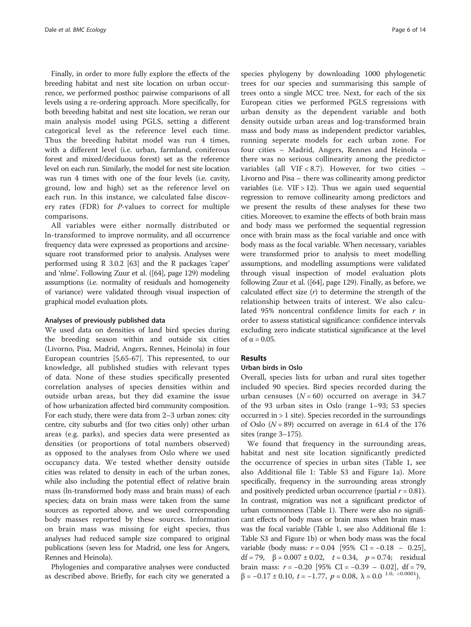<span id="page-5-0"></span>Finally, in order to more fully explore the effects of the breeding habitat and nest site location on urban occurrence, we performed posthoc pairwise comparisons of all levels using a re-ordering approach. More specifically, for both breeding habitat and nest site location, we reran our main analysis model using PGLS, setting a different categorical level as the reference level each time. Thus the breeding habitat model was run 4 times, with a different level (i.e. urban, farmland, coniferous forest and mixed/deciduous forest) set as the reference level on each run. Similarly, the model for nest site location was run 4 times with one of the four levels (i.e. cavity, ground, low and high) set as the reference level on each run. In this instance, we calculated false discovery rates (FDR) for P-values to correct for multiple comparisons.

All variables were either normally distributed or ln-transformed to improve normality, and all occurrence frequency data were expressed as proportions and arcsinesquare root transformed prior to analysis. Analyses were performed using R 3.0.2 [[63](#page-13-0)] and the R packages 'caper' and 'nlme'. Following Zuur et al. ([[64](#page-13-0)], page 129) modeling assumptions (i.e. normality of residuals and homogeneity of variance) were validated through visual inspection of graphical model evaluation plots.

#### Analyses of previously published data

We used data on densities of land bird species during the breeding season within and outside six cities (Livorno, Pisa, Madrid, Angers, Rennes, Heinola) in four European countries [\[5,](#page-12-0)[65-67](#page-13-0)]. This represented, to our knowledge, all published studies with relevant types of data. None of these studies specifically presented correlation analyses of species densities within and outside urban areas, but they did examine the issue of how urbanization affected bird community composition. For each study, there were data from 2–3 urban zones: city centre, city suburbs and (for two cities only) other urban areas (e.g. parks), and species data were presented as densities (or proportions of total numbers observed) as opposed to the analyses from Oslo where we used occupancy data. We tested whether density outside cities was related to density in each of the urban zones, while also including the potential effect of relative brain mass (ln-transformed body mass and brain mass) of each species; data on brain mass were taken from the same sources as reported above, and we used corresponding body masses reported by these sources. Information on brain mass was missing for eight species, thus analyses had reduced sample size compared to original publications (seven less for Madrid, one less for Angers, Rennes and Heinola).

Phylogenies and comparative analyses were conducted as described above. Briefly, for each city we generated a

species phylogeny by downloading 1000 phylogenetic trees for our species and summarising this sample of trees onto a single MCC tree. Next, for each of the six European cities we performed PGLS regressions with urban density as the dependent variable and both density outside urban areas and log-transformed brain mass and body mass as independent predictor variables, running seperate models for each urban zone. For four cities – Madrid, Angers, Rennes and Heinola – there was no serious collinearity among the predictor variables (all  $VIF < 8.7$ ). However, for two cities  $-$ Livorno and Pisa – there was collinearity among predictor variables (i.e.  $VIF > 12$ ). Thus we again used sequential regression to remove collinearity among predictors and we present the results of these analyses for these two cities. Moreover, to examine the effects of both brain mass and body mass we performed the sequential regression once with brain mass as the focal variable and once with body mass as the focal variable. When necessary, variables were transformed prior to analysis to meet modelling assumptions, and modelling assumptions were validated through visual inspection of model evaluation plots following Zuur et al. ([\[64\]](#page-13-0), page 129). Finally, as before, we calculated effect size  $(r)$  to determine the strength of the relationship between traits of interest. We also calculated 95% noncentral confidence limits for each  $r$  in order to assess statistical significance: confidence intervals excluding zero indicate statistical significance at the level of  $\alpha = 0.05$ .

#### Results

# Urban birds in Oslo

Overall, species lists for urban and rural sites together included 90 species. Bird species recorded during the urban censuses  $(N = 60)$  occurred on average in 34.7 of the 93 urban sites in Oslo (range 1–93; 53 species occurred in > 1 site). Species recorded in the surroundings of Oslo  $(N = 89)$  occurred on average in 61.4 of the 176 sites (range 3–175).

We found that frequency in the surrounding areas, habitat and nest site location significantly predicted the occurrence of species in urban sites (Table [1](#page-6-0), see also Additional file [1:](#page-12-0) Table S3 and Figure [1](#page-7-0)a). More specifically, frequency in the surrounding areas strongly and positively predicted urban occurrence (partial  $r = 0.81$ ). In contrast, migration was not a significant predictor of urban commonness (Table [1](#page-6-0)). There were also no significant effects of body mass or brain mass when brain mass was the focal variable (Table [1](#page-6-0), see also Additional file [1](#page-12-0): Table S3 and Figure [1b](#page-7-0)) or when body mass was the focal variable (body mass:  $r = 0.04$  [95% CI = -0.18 – 0.25], df = 79, β = 0.007 ± 0.02,  $t = 0.34$ ,  $p = 0.74$ ; residual brain mass:  $r = -0.20$  [95% CI =  $-0.39 - 0.02$ ], df = 79,  $\beta = -0.17 \pm 0.10, \ t = -1.77, \ p = 0.08, \ \lambda = 0.0$  <sup>1.0, <0.0001</sup>).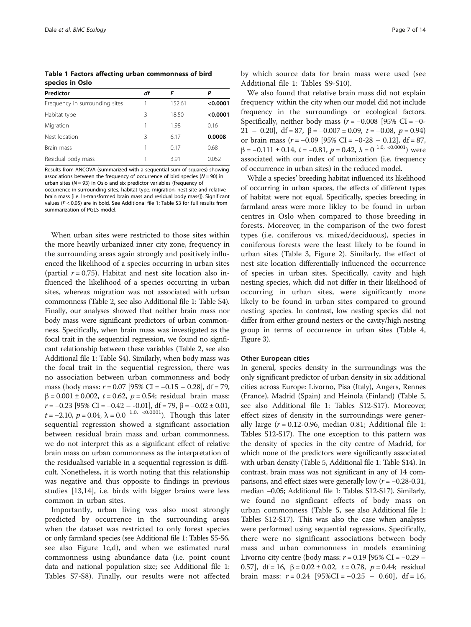<span id="page-6-0"></span>Table 1 Factors affecting urban commonness of bird species in Oslo

| Predictor                      | df |        | P        |
|--------------------------------|----|--------|----------|
| Frequency in surrounding sites |    | 152.61 | < 0.0001 |
| Habitat type                   | 3  | 18.50  | < 0.0001 |
| Migration                      |    | 1.98   | 0.16     |
| Nest location                  | 3  | 6.17   | 0.0008   |
| Brain mass                     |    | 0.17   | 0.68     |
| Residual body mass             |    | 3.91   | 0.052    |

Results from ANCOVA (summarized with a sequential sum of squares) showing associations between the frequency of occurrence of bird species  $(N = 90)$  in urban sites ( $N = 93$ ) in Oslo and six predictor variables (frequency of

occurrence in surrounding sites, habitat type, migration, nest site and relative brain mass [i.e. ln-transformed brain mass and residual body mass]). Significant values ( $P < 0.05$ ) are in bold. See Additional file [1:](#page-12-0) Table S3 for full results from summarization of PGLS model.

When urban sites were restricted to those sites within the more heavily urbanized inner city zone, frequency in the surrounding areas again strongly and positively influenced the likelihood of a species occurring in urban sites (partial  $r = 0.75$ ). Habitat and nest site location also influenced the likelihood of a species occurring in urban sites, whereas migration was not associated with urban commonness (Table [2](#page-8-0), see also Additional file [1:](#page-12-0) Table S4). Finally, our analyses showed that neither brain mass nor body mass were significant predictors of urban commonness. Specifically, when brain mass was investigated as the focal trait in the sequential regression, we found no signficant relationship between these variables (Table [2,](#page-8-0) see also Additional file [1:](#page-12-0) Table S4). Similarly, when body mass was the focal trait in the sequential regression, there was no association between urban commonness and body mass (body mass:  $r = 0.07$  [95% CI = −0.15 − 0.28], df = 79,  $β = 0.001 ± 0.002$ ,  $t = 0.62$ ,  $p = 0.54$ ; residual brain mass:  $r = -0.23$  [95% CI =  $-0.42 - 0.01$ ], df = 79,  $\beta = -0.02 \pm 0.01$ , t = -2.10, p = 0.04,  $\lambda$  = 0.0<sup>1.0, <0.0001</sup>). Though this later sequential regression showed a significant association between residual brain mass and urban commonness, we do not interpret this as a significant effect of relative brain mass on urban commonness as the interpretation of the residualised variable in a sequential regression is difficult. Nonetheless, it is worth noting that this relationship was negative and thus opposite to findings in previous studies [[13,14\]](#page-12-0), i.e. birds with bigger brains were less common in urban sites.

Importantly, urban living was also most strongly predicted by occurrence in the surrounding areas when the dataset was restricted to only forest species or only farmland species (see Additional file [1:](#page-12-0) Tables S5-S6, see also Figure [1c](#page-7-0),d), and when we estimated rural commonness using abundance data (i.e. point count data and national population size; see Additional file [1](#page-12-0): Tables S7-S8). Finally, our results were not affected by which source data for brain mass were used (see Additional file [1](#page-12-0): Tables S9-S10).

We also found that relative brain mass did not explain frequency within the city when our model did not include frequency in the surroundings or ecological factors. Specifically, neither body mass ( $r = -0.008$  [95% CI = -0-21 – 0.20], df = 87,  $\beta$  = -0.007 ± 0.09, t = -0.08, p = 0.94) or brain mass ( $r = -0.09$  [95% CI =  $-0.28 - 0.12$ ], df = 87,  $β = -0.111 ± 0.14, t = -0.81, p = 0.42, λ = 0<sup>1.0, < 0.0001</sup>$  were associated with our index of urbanization (i.e. frequency of occurrence in urban sites) in the reduced model.

While a species' breeding habitat influenced its likelihood of occurring in urban spaces, the effects of different types of habitat were not equal. Specifically, species breeding in farmland areas were more likley to be found in urban centres in Oslo when compared to those breeding in forests. Moreover, in the comparison of the two forest types (i.e. coniferous vs. mixed/deciduous), species in coniferous forests were the least likely to be found in urban sites (Table [3](#page-8-0), Figure [2](#page-9-0)). Similarly, the effect of nest site location differentially influenced the occurrence of species in urban sites. Specifically, cavity and high nesting species, which did not differ in their likelihood of occurring in urban sites, were significantly more likely to be found in urban sites compared to ground nesting species. In contrast, low nesting species did not differ from either ground nesters or the cavity/high nesting group in terms of occurrence in urban sites (Table [4](#page-9-0), Figure [3\)](#page-9-0).

#### Other European cities

In general, species density in the surroundings was the only significant predictor of urban density in six additional cities across Europe: Livorno, Pisa (Italy), Angers, Rennes (France), Madrid (Spain) and Heinola (Finland) (Table [5](#page-10-0), see also Additional file [1](#page-12-0): Tables S12-S17). Moreover, effect sizes of density in the surroundings were generally large  $(r = 0.12 - 0.96$ , median 0.81; Additional file [1](#page-12-0): Tables S12-S17). The one exception to this pattern was the density of species in the city centre of Madrid, for which none of the predictors were significantly associated with urban density (Table [5](#page-10-0), Additional file [1:](#page-12-0) Table S14). In contrast, brain mass was not significant in any of 14 comparisons, and effect sizes were generally low  $(r = -0.28 - 0.31)$ , median −0.05; Additional file [1:](#page-12-0) Tables S12-S17). Similarly, we found no signficant effects of body mass on urban commonness (Table [5,](#page-10-0) see also Additional file [1](#page-12-0): Tables S12-S17). This was also the case when analyses were performed using sequential regressions. Specifically, there were no significant associations between body mass and urban commonness in models examining Livorno city centre (body mass:  $r = 0.19$  [95% CI = −0.29 − 0.57], df = 16, β = 0.02 ± 0.02,  $t = 0.78$ ,  $p = 0.44$ ; residual brain mass:  $r = 0.24$  [95%CI = -0.25 - 0.60], df = 16,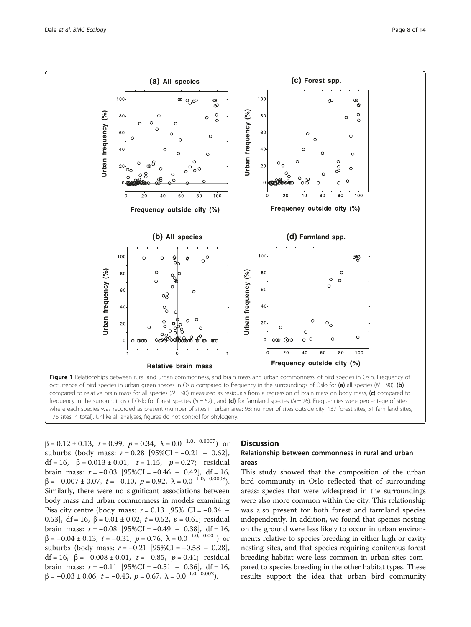<span id="page-7-0"></span>

 $β = 0.12 ± 0.13, t = 0.99, p = 0.34, λ = 0.0<sup>1.0, 0.0007</sup>)$  or suburbs (body mass:  $r = 0.28$  [95%CI = -0.21 – 0.62], df = 16, β = 0.013 ± 0.01,  $t = 1.15$ ,  $p = 0.27$ ; residual brain mass:  $r = -0.03$  [95%CI =  $-0.46 - 0.42$ ], df = 16,  $\beta = -0.007 \pm 0.07, \ t = -0.10, \ p = 0.92, \ \lambda = 0.0 \ ^{1.0, \ 0.0008}.$ Similarly, there were no significant associations between body mass and urban commonness in models examining Pisa city centre (body mass:  $r = 0.13$  [95% CI = −0.34 – 0.53], df = 16, β = 0.01 ± 0.02, t = 0.52, p = 0.61; residual brain mass:  $r = -0.08$  [95%CI =  $-0.49 - 0.38$ ], df = 16,  $β = -0.04 ± 0.13, t = -0.31, p = 0.76, λ = 0.0<sup>1.0, 0.001</sup>)$  or suburbs (body mass:  $r = -0.21$  [95%CI =  $-0.58 - 0.28$ ], df = 16, β =  $-0.008 \pm 0.01$ , t =  $-0.85$ , p = 0.41; residual brain mass:  $r = -0.11$  [95%CI =  $-0.51 - 0.36$ ], df = 16,  $\beta=-0.03\pm0.06,\ t=-0.43,\ p=0.67,\ \lambda=0.0$   $^{1.0,~0.002}).$ 

# **Discussion**

## Relationship between commonness in rural and urban areas

This study showed that the composition of the urban bird community in Oslo reflected that of surrounding areas: species that were widespread in the surroundings were also more common within the city. This relationship was also present for both forest and farmland species independently. In addition, we found that species nesting on the ground were less likely to occur in urban environments relative to species breeding in either high or cavity nesting sites, and that species requiring coniferous forest breeding habitat were less common in urban sites compared to species breeding in the other habitat types. These results support the idea that urban bird community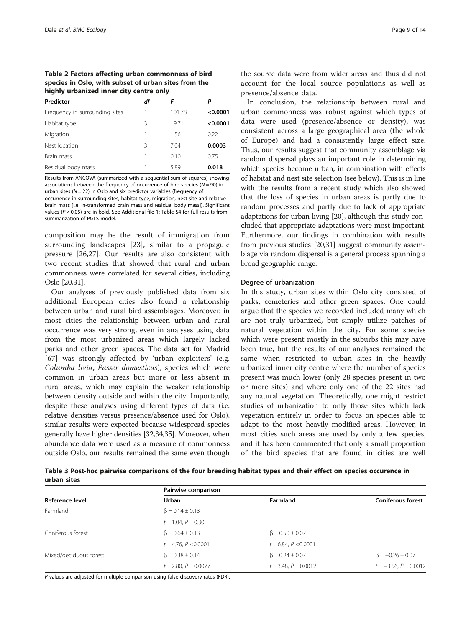<span id="page-8-0"></span>Table 2 Factors affecting urban commonness of bird species in Oslo, with subset of urban sites from the highly urbanized inner city centre only

| Predictor                      | df | F      | Р        |
|--------------------------------|----|--------|----------|
| Frequency in surrounding sites |    | 101.78 | < 0.0001 |
| Habitat type                   | ζ  | 19.71  | < 0.0001 |
| Migration                      |    | 1.56   | 0.22     |
| Nest location                  | ζ  | 704    | 0.0003   |
| Brain mass                     |    | 0.10   | 0.75     |
| Residual body mass             |    | 5.89   | 0.018    |

Results from ANCOVA (summarized with a sequential sum of squares) showing associations between the frequency of occurrence of bird species ( $N = 90$ ) in urban sites ( $N = 22$ ) in Oslo and six predictor variables (frequency of

occurrence in surrounding sites, habitat type, migration, nest site and relative brain mass [i.e. ln-transformed brain mass and residual body mass]). Significant values (P < 0.05) are in bold. See Additional file [1:](#page-12-0) Table S4 for full results from summarization of PGLS model.

composition may be the result of immigration from surrounding landscapes [[23\]](#page-12-0), similar to a propagule pressure [[26,27](#page-12-0)]. Our results are also consistent with two recent studies that showed that rural and urban commonness were correlated for several cities, including Oslo [\[20,31\]](#page-12-0).

Our analyses of previously published data from six additional European cities also found a relationship between urban and rural bird assemblages. Moreover, in most cities the relationship between urban and rural occurrence was very strong, even in analyses using data from the most urbanized areas which largely lacked parks and other green spaces. The data set for Madrid [[67\]](#page-13-0) was strongly affected by 'urban exploiters' (e.g. Columba livia, Passer domesticus), species which were common in urban areas but more or less absent in rural areas, which may explain the weaker relationship between density outside and within the city. Importantly, despite these analyses using different types of data (i.e. relative densities versus presence/absence used for Oslo), similar results were expected because widespread species generally have higher densities [[32,34,35\]](#page-12-0). Moreover, when abundance data were used as a measure of commonness outside Oslo, our results remained the same even though

the source data were from wider areas and thus did not account for the local source populations as well as presence/absence data.

In conclusion, the relationship between rural and urban commonness was robust against which types of data were used (presence/absence or density), was consistent across a large geographical area (the whole of Europe) and had a consistently large effect size. Thus, our results suggest that community assemblage via random dispersal plays an important role in determining which species become urban, in combination with effects of habitat and nest site selection (see below). This is in line with the results from a recent study which also showed that the loss of species in urban areas is partly due to random processes and partly due to lack of appropriate adaptations for urban living [\[20\]](#page-12-0), although this study concluded that appropriate adaptations were most important. Furthermore, our findings in combination with results from previous studies [\[20,31](#page-12-0)] suggest community assemblage via random dispersal is a general process spanning a broad geographic range.

#### Degree of urbanization

In this study, urban sites within Oslo city consisted of parks, cemeteries and other green spaces. One could argue that the species we recorded included many which are not truly urbanized, but simply utilize patches of natural vegetation within the city. For some species which were present mostly in the suburbs this may have been true, but the results of our analyses remained the same when restricted to urban sites in the heavily urbanized inner city centre where the number of species present was much lower (only 28 species present in two or more sites) and where only one of the 22 sites had any natural vegetation. Theoretically, one might restrict studies of urbanization to only those sites which lack vegetation entirely in order to focus on species able to adapt to the most heavily modified areas. However, in most cities such areas are used by only a few species, and it has been commented that only a small proportion of the bird species that are found in cities are well

Table 3 Post-hoc pairwise comparisons of the four breeding habitat types and their effect on species occurence in urban sites

| Reference level        | Pairwise comparison       |                           |                            |  |
|------------------------|---------------------------|---------------------------|----------------------------|--|
|                        | Urban                     | Farmland                  | <b>Coniferous forest</b>   |  |
| Farmland               | $\beta = 0.14 \pm 0.13$   |                           |                            |  |
|                        | $t = 1.04$ , $P = 0.30$   |                           |                            |  |
| Coniferous forest      | $\beta = 0.64 \pm 0.13$   | $\beta = 0.50 \pm 0.07$   |                            |  |
|                        | $t = 4.76$ , $P < 0.0001$ | $t = 6.84$ , $P < 0.0001$ |                            |  |
| Mixed/deciduous forest | $\beta = 0.38 \pm 0.14$   | $\beta = 0.24 \pm 0.07$   | $\beta = -0.26 \pm 0.07$   |  |
|                        | $t = 2.80, P = 0.0077$    | $t = 3.48, P = 0.0012$    | $t = -3.56$ , $P = 0.0012$ |  |

P-values are adjusted for multiple comparison using false discovery rates (FDR).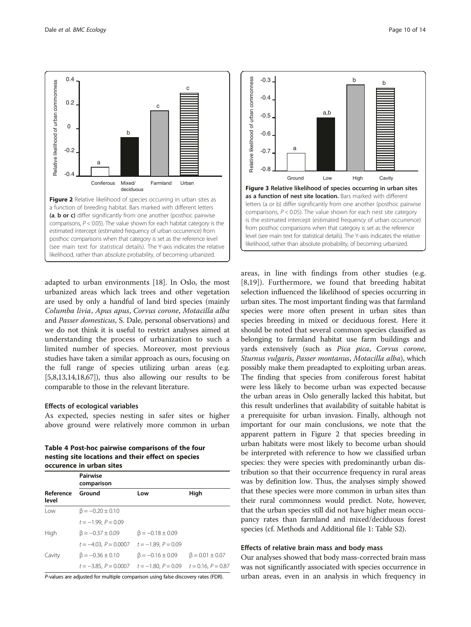<span id="page-9-0"></span>

adapted to urban environments [\[18](#page-12-0)]. In Oslo, the most urbanized areas which lack trees and other vegetation are used by only a handful of land bird species (mainly Columba livia, Apus apus, Corvus corone, Motacilla alba and Passer domesticus, S. Dale, personal observations) and we do not think it is useful to restrict analyses aimed at understanding the process of urbanization to such a limited number of species. Moreover, most previous studies have taken a similar approach as ours, focusing on the full range of species utilizing urban areas (e.g.  $[5,8,13,14,18,67]$  $[5,8,13,14,18,67]$  $[5,8,13,14,18,67]$  $[5,8,13,14,18,67]$  $[5,8,13,14,18,67]$  $[5,8,13,14,18,67]$ , thus also allowing our results to be comparable to those in the relevant literature.

### Effects of ecological variables

As expected, species nesting in safer sites or higher above ground were relatively more common in urban

Table 4 Post-hoc pairwise comparisons of the four nesting site locations and their effect on species occurence in urban sites

|                    | <b>Pairwise</b><br>comparison                       |                          |                         |  |
|--------------------|-----------------------------------------------------|--------------------------|-------------------------|--|
| Reference<br>level | Ground                                              | Low                      | High                    |  |
| l ow               | $\beta = -0.20 \pm 0.10$                            |                          |                         |  |
|                    | $t = -1.99$ , $P = 0.09$                            |                          |                         |  |
| High               | $\beta = -0.37 \pm 0.09$                            | $\beta = -0.18 \pm 0.09$ |                         |  |
|                    | $t = -4.03$ , $P = 0.0007$ $t = -1.89$ , $P = 0.09$ |                          |                         |  |
| Cavity             | $\beta = -0.36 \pm 0.10$                            | $\beta = -0.16 \pm 0.09$ | $\beta = 0.01 \pm 0.07$ |  |
|                    | $t = -3.85$ , $P = 0.0007$ $t = -1.80$ , $P = 0.09$ |                          | $t = 0.16$ , $P = 0.87$ |  |

P-values are adjusted for multiple comparison using false discovery rates (FDR).



areas, in line with findings from other studies (e.g. [[8,19](#page-12-0)]). Furthermore, we found that breeding habitat selection influenced the likelihood of species occurring in urban sites. The most important finding was that farmland species were more often present in urban sites than species breeding in mixed or deciduous forest. Here it should be noted that several common species classified as belonging to farmland habitat use farm buildings and yards extensively (such as Pica pica, Corvus corone, Sturnus vulgaris, Passer montanus, Motacilla alba), which possibly make them preadapted to exploiting urban areas. The finding that species from coniferous forest habitat were less likely to become urban was expected because the urban areas in Oslo generally lacked this habitat, but this result underlines that availability of suitable habitat is a prerequisite for urban invasion. Finally, although not important for our main conclusions, we note that the apparent pattern in Figure 2 that species breeding in urban habitats were most likely to become urban should be interpreted with reference to how we classified urban species: they were species with predominantly urban distribution so that their occurrence frequency in rural areas was by definition low. Thus, the analyses simply showed that these species were more common in urban sites than their rural commonness would predict. Note, however, that the urban species still did not have higher mean occupancy rates than farmland and mixed/deciduous forest species (cf. Methods and Additional file [1](#page-12-0): Table S2).

#### Effects of relative brain mass and body mass

Our analyses showed that body mass-corrected brain mass was not significantly associated with species occurrence in urban areas, even in an analysis in which frequency in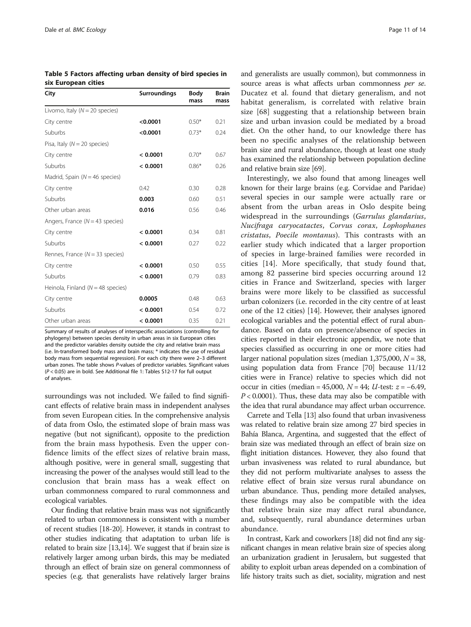<span id="page-10-0"></span>Table 5 Factors affecting urban density of bird species in six European cities

| City                                 | Surroundings | Body<br>mass | <b>Brain</b><br>mass |
|--------------------------------------|--------------|--------------|----------------------|
| Livorno, Italy ( $N = 20$ species)   |              |              |                      |
| City centre                          | < 0.0001     | $0.50*$      | 0.21                 |
| Suburbs                              | < 0.0001     | $0.73*$      | 0.24                 |
| Pisa, Italy ( $N = 20$ species)      |              |              |                      |
| City centre                          | < 0.0001     | $0.70*$      | 0.67                 |
| Suburbs                              | < 0.0001     | $0.86*$      | 0.26                 |
| Madrid, Spain ( $N = 46$ species)    |              |              |                      |
| City centre                          | 0.42         | 0.30         | 0.28                 |
| Suburbs                              | 0.003        | 0.60         | 0.51                 |
| Other urban areas                    | 0.016        | 0.56         | 0.46                 |
| Angers, France ( $N = 43$ species)   |              |              |                      |
| City centre                          | < 0.0001     | 0.34         | 0.81                 |
| Suburbs                              | < 0.0001     | 0.27         | 0.22                 |
| Rennes, France ( $N = 33$ species)   |              |              |                      |
| City centre                          | < 0.0001     | 0.50         | 0.55                 |
| Suburbs                              | < 0.0001     | 0.79         | 0.83                 |
| Heinola, Finland ( $N = 48$ species) |              |              |                      |
| City centre                          | 0.0005       | 0.48         | 0.63                 |
| Suburbs                              | < 0.0001     | 0.54         | 0.72                 |
| Other urban areas                    | < 0.0001     | 0.35         | 0.21                 |

Summary of results of analyses of interspecific associations (controlling for phylogeny) between species density in urban areas in six European cities and the predictor variables density outside the city and relative brain mass (i.e. ln-transformed body mass and brain mass; \* indicates the use of residual body mass from sequential regression). For each city there were 2–3 different urban zones. The table shows P-values of predictor variables. Significant values (P < 0.05) are in bold. See Additional file [1](#page-12-0): Tables S12-17 for full output of analyses.

surroundings was not included. We failed to find significant effects of relative brain mass in independent analyses from seven European cities. In the comprehensive analysis of data from Oslo, the estimated slope of brain mass was negative (but not significant), opposite to the prediction from the brain mass hypothesis. Even the upper confidence limits of the effect sizes of relative brain mass, although positive, were in general small, suggesting that increasing the power of the analyses would still lead to the conclusion that brain mass has a weak effect on urban commonness compared to rural commonness and ecological variables.

Our finding that relative brain mass was not significantly related to urban commonness is consistent with a number of recent studies [\[18](#page-12-0)-[20](#page-12-0)]. However, it stands in contrast to other studies indicating that adaptation to urban life is related to brain size [\[13,14](#page-12-0)]. We suggest that if brain size is relatively larger among urban birds, this may be mediated through an effect of brain size on general commonness of species (e.g. that generalists have relatively larger brains

and generalists are usually common), but commonness in source areas is what affects urban commonness per se. Ducatez et al. found that dietary generalism, and not habitat generalism, is correlated with relative brain size [[68](#page-13-0)] suggesting that a relationship between brain size and urban invasion could be mediated by a broad diet. On the other hand, to our knowledge there has been no specific analyses of the relationship between brain size and rural abundance, though at least one study has examined the relationship between population decline and relative brain size [\[69](#page-13-0)].

Interestingly, we also found that among lineages well known for their large brains (e.g. Corvidae and Paridae) several species in our sample were actually rare or absent from the urban areas in Oslo despite being widespread in the surroundings (Garrulus glandarius, Nucifraga caryocatactes, Corvus corax, Lophophanes cristatus, Poecile montanus). This contrasts with an earlier study which indicated that a larger proportion of species in large-brained families were recorded in cities [\[14](#page-12-0)]. More specifically, that study found that, among 82 passerine bird species occurring around 12 cities in France and Switzerland, species with larger brains were more likely to be classified as successful urban colonizers (i.e. recorded in the city centre of at least one of the 12 cities) [\[14\]](#page-12-0). However, their analyses ignored ecological variables and the potential effect of rural abundance. Based on data on presence/absence of species in cities reported in their electronic appendix, we note that species classified as occurring in one or more cities had larger national population sizes (median  $1,375,000$ ,  $N = 38$ , using population data from France [\[70](#page-13-0)] because 11/12 cities were in France) relative to species which did not occur in cities (median = 45,000,  $N = 44$ ; *U*-test:  $z = -6.49$ ,  $P < 0.0001$ ). Thus, these data may also be compatible with the idea that rural abundance may affect urban occurrence.

Carrete and Tella [\[13\]](#page-12-0) also found that urban invasiveness was related to relative brain size among 27 bird species in Bahía Blanca, Argentina, and suggested that the effect of brain size was mediated through an effect of brain size on flight initiation distances. However, they also found that urban invasiveness was related to rural abundance, but they did not perform multivariate analyses to assess the relative effect of brain size versus rural abundance on urban abundance. Thus, pending more detailed analyses, these findings may also be compatible with the idea that relative brain size may affect rural abundance, and, subsequently, rural abundance determines urban abundance.

In contrast, Kark and coworkers [\[18\]](#page-12-0) did not find any significant changes in mean relative brain size of species along an urbanization gradient in Jerusalem, but suggested that ability to exploit urban areas depended on a combination of life history traits such as diet, sociality, migration and nest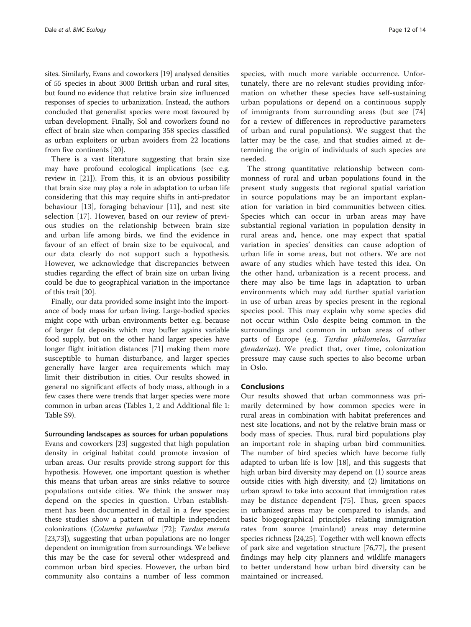sites. Similarly, Evans and coworkers [[19](#page-12-0)] analysed densities of 55 species in about 3000 British urban and rural sites, but found no evidence that relative brain size influenced responses of species to urbanization. Instead, the authors concluded that generalist species were most favoured by urban development. Finally, Sol and coworkers found no effect of brain size when comparing 358 species classified as urban exploiters or urban avoiders from 22 locations from five continents [\[20\]](#page-12-0).

There is a vast literature suggesting that brain size may have profound ecological implications (see e.g. review in [\[21\]](#page-12-0)). From this, it is an obvious possibility that brain size may play a role in adaptation to urban life considering that this may require shifts in anti-predator behaviour [[13\]](#page-12-0), foraging behaviour [[11](#page-12-0)], and nest site selection [[17\]](#page-12-0). However, based on our review of previous studies on the relationship between brain size and urban life among birds, we find the evidence in favour of an effect of brain size to be equivocal, and our data clearly do not support such a hypothesis. However, we acknowledge that discrepancies between studies regarding the effect of brain size on urban living could be due to geographical variation in the importance of this trait [[20](#page-12-0)].

Finally, our data provided some insight into the importance of body mass for urban living. Large-bodied species might cope with urban environments better e.g. because of larger fat deposits which may buffer agains variable food supply, but on the other hand larger species have longer flight initiation distances [\[71\]](#page-13-0) making them more susceptible to human disturbance, and larger species generally have larger area requirements which may limit their distribution in cities. Our results showed in general no significant effects of body mass, although in a few cases there were trends that larger species were more common in urban areas (Tables [1,](#page-6-0) [2](#page-8-0) and Additional file [1](#page-12-0): Table S9).

Surrounding landscapes as sources for urban populations Evans and coworkers [\[23\]](#page-12-0) suggested that high population density in original habitat could promote invasion of urban areas. Our results provide strong support for this hypothesis. However, one important question is whether this means that urban areas are sinks relative to source populations outside cities. We think the answer may depend on the species in question. Urban establishment has been documented in detail in a few species; these studies show a pattern of multiple independent colonizations (Columba palumbus [[72](#page-13-0)]; Turdus merula [[23](#page-12-0)[,73](#page-13-0)]), suggesting that urban populations are no longer dependent on immigration from surroundings. We believe this may be the case for several other widespread and common urban bird species. However, the urban bird community also contains a number of less common

species, with much more variable occurrence. Unfortunately, there are no relevant studies providing information on whether these species have self-sustaining urban populations or depend on a continuous supply of immigrants from surrounding areas (but see [\[74](#page-13-0)] for a review of differences in reproductive parameters of urban and rural populations). We suggest that the latter may be the case, and that studies aimed at determining the origin of individuals of such species are needed.

The strong quantitative relationship between commonness of rural and urban populations found in the present study suggests that regional spatial variation in source populations may be an important explanation for variation in bird communities between cities. Species which can occur in urban areas may have substantial regional variation in population density in rural areas and, hence, one may expect that spatial variation in species' densities can cause adoption of urban life in some areas, but not others. We are not aware of any studies which have tested this idea. On the other hand, urbanization is a recent process, and there may also be time lags in adaptation to urban environments which may add further spatial variation in use of urban areas by species present in the regional species pool. This may explain why some species did not occur within Oslo despite being common in the surroundings and common in urban areas of other parts of Europe (e.g. Turdus philomelos, Garrulus glandarius). We predict that, over time, colonization pressure may cause such species to also become urban in Oslo.

#### Conclusions

Our results showed that urban commonness was primarily determined by how common species were in rural areas in combination with habitat preferences and nest site locations, and not by the relative brain mass or body mass of species. Thus, rural bird populations play an important role in shaping urban bird communities. The number of bird species which have become fully adapted to urban life is low [\[18](#page-12-0)], and this suggests that high urban bird diversity may depend on (1) source areas outside cities with high diversity, and (2) limitations on urban sprawl to take into account that immigration rates may be distance dependent [[75\]](#page-13-0). Thus, green spaces in urbanized areas may be compared to islands, and basic biogeographical principles relating immigration rates from source (mainland) areas may determine species richness [\[24,25\]](#page-12-0). Together with well known effects of park size and vegetation structure [[76,77\]](#page-13-0), the present findings may help city planners and wildlife managers to better understand how urban bird diversity can be maintained or increased.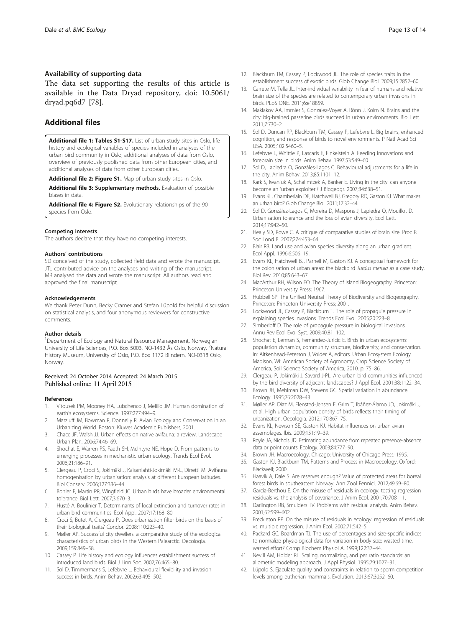#### <span id="page-12-0"></span>Availability of supporting data

The data set supporting the results of this article is available in the Data Dryad repository, doi: 10.5061/ dryad.pq6d7 [\[78](#page-13-0)].

# Additional files

[Additional file 1: Tables S1-S17.](http://www.biomedcentral.com/content/supplementary/s12898-015-0044-x-s1.docx) List of urban study sites in Oslo, life history and ecological variables of species included in analyses of the urban bird community in Oslo, additional analyses of data from Oslo, overview of previously published data from other European cities, and additional analyses of data from other European cities.

[Additional file 2: Figure S1.](http://www.biomedcentral.com/content/supplementary/s12898-015-0044-x-s2.pdf) Map of urban study sites in Oslo.

[Additional file 3:](http://www.biomedcentral.com/content/supplementary/s12898-015-0044-x-s3.docx) Supplementary methods. Evaluation of possible biases in data.

[Additional file 4: Figure S2.](http://www.biomedcentral.com/content/supplementary/s12898-015-0044-x-s4.pdf) Evolutionary relationships of the 90 species from Oslo.

#### Competing interests

The authors declare that they have no competing interests.

#### Authors' contributions

SD conceived of the study, collected field data and wrote the manuscipt. JTL contributed advice on the analyses and writing of the manuscript. MR analysed the data and wrote the manuscript. All authors read and approved the final manuscript.

#### Acknowledgements

We thank Peter Dunn, Becky Cramer and Stefan Lüpold for helpful discussion on statistical analysis, and four anonymous reviewers for constructive comments.

#### Author details

<sup>1</sup>Department of Ecology and Natural Resource Management, Norwegian University of Life Sciences, P.O. Box 5003, NO-1432 Ås Oslo, Norway. <sup>2</sup>Natural History Museum, University of Oslo, P.O. Box 1172 Blindern, NO-0318 Oslo, Norway.

#### Received: 24 October 2014 Accepted: 24 March 2015 Published online: 11 April 2015

#### References

- 1. Vitousek PM, Mooney HA, Lubchenco J, Melillo JM. Human domination of earth's ecosystems. Science. 1997;277:494–9.
- 2. Marzluff JM, Bowman R, Donnelly R. Avian Ecology and Conservation in an Urbanizing World. Boston: Kluwer Academic Publishers; 2001.
- 3. Chace JF, Walsh JJ. Urban effects on native avifauna: a review. Landscape Urban Plan. 2006;74:46–69.
- 4. Shochat E, Warren PS, Faeth SH, McIntyre NE, Hope D. From patterns to emerging processes in mechanistic urban ecology. Trends Ecol Evol. 2006;21:186–91.
- 5. Clergeau P, Croci S, Jokimäki J, Kaisanlahti-Jokimäki M-L, Dinetti M. Avifauna homogenisation by urbanisation: analysis at different European latitudes. Biol Conserv. 2006;127:336–44.
- 6. Bonier F, Martin PR, Wingfield JC. Urban birds have broader environmental tolerance. Biol Lett. 2007;3:670–3.
- 7. Husté A, Boulinier T. Determinants of local extinction and turnover rates in urban bird communities. Ecol Appl. 2007;17:168–80.
- Croci S, Butet A, Clergeau P. Does urbanization filter birds on the basis of their biological traits? Condor. 2008;110:223–40.
- 9. Møller AP. Successful city dwellers: a comparative study of the ecological characteristics of urban birds in the Western Palearctic. Oecologia. 2009;159:849–58.
- 10. Cassey P. Life history and ecology influences establishment success of introduced land birds. Biol J Linn Soc. 2002;76:465–80.
- 11. Sol D, Timmermans S, Lefebvre L. Behavioural flexibility and invasion success in birds. Anim Behav. 2002;63:495–502.
- 12. Blackburn TM, Cassey P, Lockwood JL. The role of species traits in the establishment success of exotic birds. Glob Change Biol. 2009;15:2852–60.
- 13. Carrete M, Tella JL. Inter-individual variability in fear of humans and relative brain size of the species are related to contemporary urban invasions in birds. PLoS ONE. 2011;6:e18859.
- 14. Maklakov AA, Immler S, Gonzalez-Voyer A, Rönn J, Kolm N. Brains and the city: big-brained passerine birds succeed in urban environments. Biol Lett. 2011;7:730–2.
- 15. Sol D, Duncan RP, Blackburn TM, Cassey P, Lefebvre L. Big brains, enhanced cognition, and response of birds to novel environments. P Natl Acad Sci USA. 2005;102:5460–5.
- 16. Lefebvre L, Whittle P, Lascaris E, Finkelstein A. Feeding innovations and forebrain size in birds. Anim Behav. 1997;53:549–60.
- 17. Sol D, Lapiedra O, Gonzáles-Lagos C. Behavioural adjustments for a life in the city. Anim Behav. 2013;85:1101–12.
- 18. Kark S, Iwaniuk A, Schalimtzek A, Banker E. Living in the city: can anyone become an 'urban exploiter'? J Biogeogr. 2007;34:638–51.
- 19. Evans KL, Chamberlain DE, Hatchwell BJ, Gregory RD, Gaston KJ. What makes an urban bird? Glob Change Biol. 2011;17:32–44.
- 20. Sol D, González-Lagos C, Moreira D, Maspons J, Lapiedra O, Mouillot D. Urbanisation tolerance and the loss of avian diversity. Ecol Lett. 2014;17:942–50.
- 21. Healy SD, Rowe C. A critique of comparative studies of brain size. Proc R Soc Lond B. 2007;274:453–64.
- 22. Blair RB. Land use and avian species diversity along an urban gradient. Ecol Appl. 1996;6:506–19.
- 23. Evans KL, Hatchwell BJ, Parnell M, Gaston KJ. A conceptual framework for the colonisation of urban areas: the blackbird Turdus merula as a case study. Biol Rev. 2010;85:643–67.
- 24. MacArthur RH, Wilson EO. The Theory of Island Biogeography. Princeton: Princeton University Press; 1967.
- 25. Hubbell SP. The Unified Neutral Theory of Biodiversity and Biogeography. Princeton: Princeton University Press; 2001.
- 26. Lockwood JL, Cassey P, Blackburn T. The role of propagule pressure in explaining species invasions. Trends Ecol Evol. 2005;20:223–8.
- 27. Simberloff D. The role of propagule pressure in biological invasions. Annu Rev Ecol Evol Syst. 2009;40:81–102.
- 28. Shochat E, Lerman S, Fernández-Juricic E. Birds in urban ecosystems: population dynamics, community structure, biodiversity, and conservation. In: Aitkenhead-Peterson J, Volder A, editors. Urban Ecosystem Ecology. Madison, WI: American Society of Agronomy, Crop Science Society of America, Soil Science Society of America; 2010. p. 75–86.
- 29. Clergeau P, Jokimäki J, Savard J-PL. Are urban bird communities influenced by the bird diversity of adjacent landscapes? J Appl Ecol. 2001;38:1122–34.
- 30. Brown JH, Mehlman DW, Stevens GC. Spatial variation in abundance. Ecology. 1995;76:2028–43.
- 31. Møller AP, Diaz M, Flensted-Jensen E, Grim T, Ibáñez-Álamo JD, Jokimäki J, et al. High urban population density of birds reflects their timing of urbanization. Oecologia. 2012;170:867–75.
- 32. Evans KL, Newson SE, Gaston KJ. Habitat influences on urban avian assemblages. Ibis. 2009;151:19–39.
- 33. Royle JA, Nichols JD. Estimating abundance from repeated presence-absence data or point counts. Ecology. 2003;84:777–90.
- 34. Brown JH. Macroecology. Chicago: University of Chicago Press; 1995.
- 35. Gaston KJ, Blackburn TM. Patterns and Process in Macroecology. Oxford: Blackwell; 2000.
- 36. Haavik A, Dale S. Are reserves enough? Value of protected areas for boreal forest birds in southeastern Norway. Ann Zool Fennici. 2012;49:69–80.
- 37. García-Berthou E. On the misuse of residuals in ecology: testing regression residuals vs. the analysis of covariance. J Anim Ecol. 2001;70:708–11.
- Darlington RB, Smulders TV. Problems with residual analysis. Anim Behav. 2001;62:599–602.
- 39. Freckleton RP. On the misuse of residuals in ecology: regression of residuals vs. multiple regression. J Anim Ecol. 2002;71:542–5.
- 40. Packard GC, Boardman TJ. The use of percentages and size-specific indices to normalize physiological data for variation in body size: wasted time, wasted effort? Comp Biochem Physiol A. 1999;122:37–44.
- 41. Nevill AM, Holder RL. Scaling, normalizing, and per ratio standards: an allometric modeling approach. J Appl Physiol. 1995;79:1027–31.
- 42. Lüpold S. Ejaculate quality and constraints in relation to sperm competition levels among eutherian mammals. Evolution. 2013;67:3052–60.